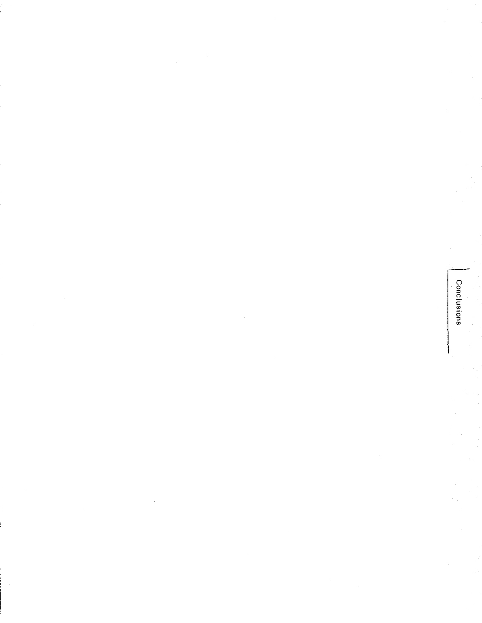Conclusions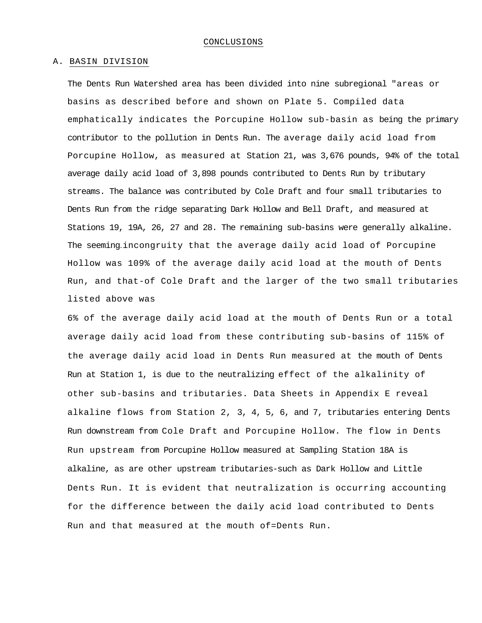#### A. BASIN DIVISION

The Dents Run Watershed area has been divided into nine subregional "areas or basins as described before and shown on Plate 5. Compiled data emphatically indicates the Porcupine Hollow sub-basin as being the primary contributor to the pollution in Dents Run. The average daily acid load from Porcupine Hollow, as measured at Station 21, was 3,676 pounds, 94% of the total average daily acid load of 3,898 pounds contributed to Dents Run by tributary streams. The balance was contributed by Cole Draft and four small tributaries to Dents Run from the ridge separating Dark Hollow and Bell Draft, and measured at Stations 19, 19A, 26, 27 and 28. The remaining sub-basins were generally alkaline. The seeming-incongruity that the average daily acid load of Porcupine Hollow was 109% of the average daily acid load at the mouth of Dents Run, and that-of Cole Draft and the larger of the two small tributaries listed above was

6% of the average daily acid load at the mouth of Dents Run or a total average daily acid load from these contributing sub-basins of 115% of the average daily acid load in Dents Run measured at the mouth of Dents Run at Station 1, is due to the neutralizing effect of the alkalinity of other sub-basins and tributaries. Data Sheets in Appendix E reveal alkaline flows from Station 2, 3, 4, 5, 6, and 7, tributaries entering Dents Run downstream from Cole Draft and Porcupine Hollow. The flow in Dents Run upstream from Porcupine Hollow measured at Sampling Station 18A is alkaline, as are other upstream tributaries-such as Dark Hollow and Little Dents Run. It is evident that neutralization is occurring accounting for the difference between the daily acid load contributed to Dents Run and that measured at the mouth of=Dents Run.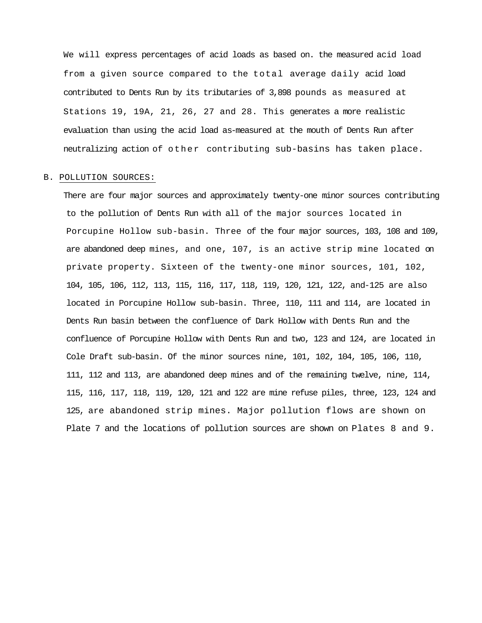We will express percentages of acid loads as based on. the measured acid load from a given source compared to the total average daily acid load contributed to Dents Run by its tributaries of 3,898 pounds as measured at Stations 19, 19A, 21, 26, 27 and 28. This generates a more realistic evaluation than using the acid load as-measured at the mouth of Dents Run after neutralizing action of other contributing sub-basins has taken place.

# B. POLLUTION SOURCES:

There are four major sources and approximately twenty-one minor sources contributing to the pollution of Dents Run with all of the major sources located in Porcupine Hollow sub-basin. Three of the four major sources, 103, 108 and 109, are abandoned deep mines, and one, 107, is an active strip mine located on private property. Sixteen of the twenty-one minor sources, 101, 102, 104, 105, 106, 112, 113, 115, 116, 117, 118, 119, 120, 121, 122, and-125 are also located in Porcupine Hollow sub-basin. Three, 110, 111 and 114, are located in Dents Run basin between the confluence of Dark Hollow with Dents Run and the confluence of Porcupine Hollow with Dents Run and two, 123 and 124, are located in Cole Draft sub-basin. Of the minor sources nine, 101, 102, 104, 105, 106, 110, 111, 112 and 113, are abandoned deep mines and of the remaining twelve, nine, 114, 115, 116, 117, 118, 119, 120, 121 and 122 are mine refuse piles, three, 123, 124 and 125, are abandoned strip mines. Major pollution flows are shown on Plate 7 and the locations of pollution sources are shown on Plates 8 and 9.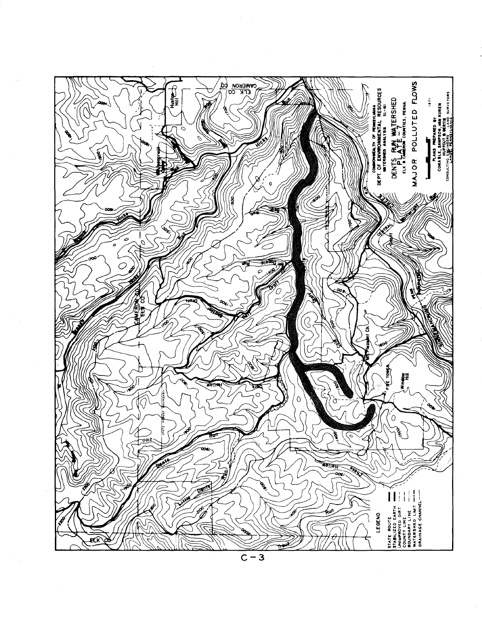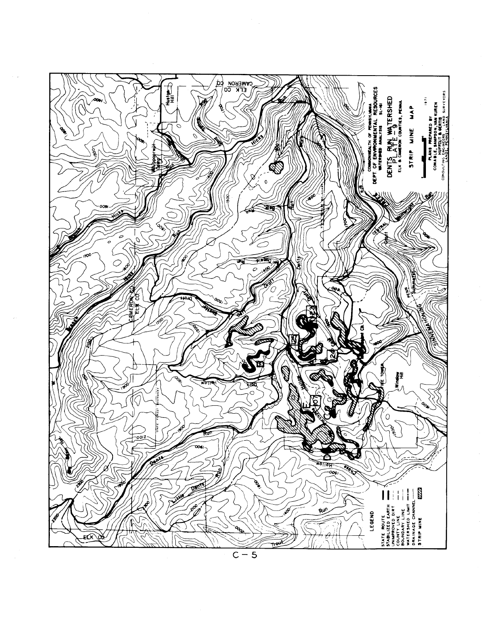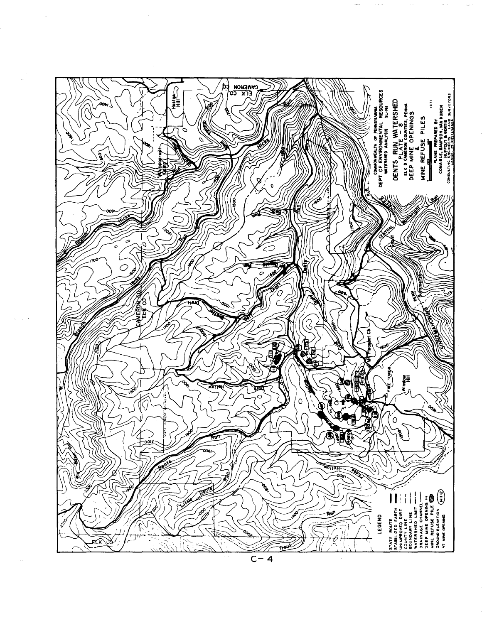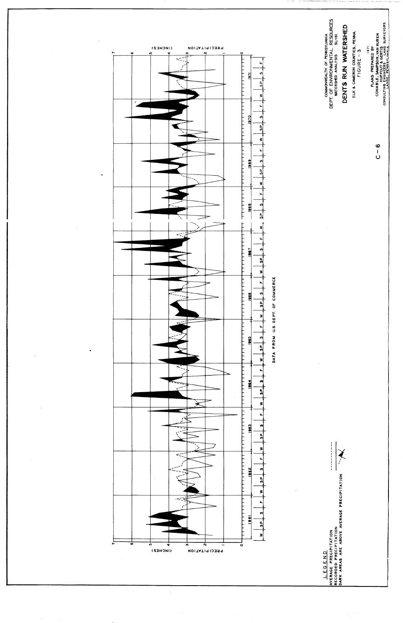

 $\frac{1}{2}$ 

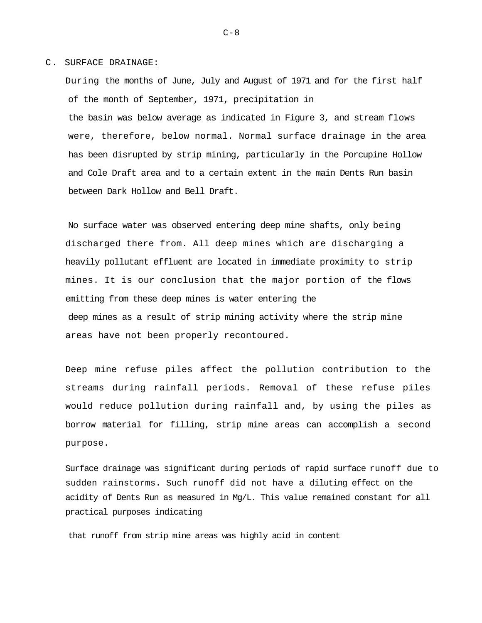#### C. SURFACE DRAINAGE:

During the months of June, July and August of 1971 and for the first half of the month of September, 1971, precipitation in the basin was below average as indicated in Figure 3, and stream flows were, therefore, below normal. Normal surface drainage in the area has been disrupted by strip mining, particularly in the Porcupine Hollow and Cole Draft area and to a certain extent in the main Dents Run basin between Dark Hollow and Bell Draft.

No surface water was observed entering deep mine shafts, only being discharged there from. All deep mines which are discharging a heavily pollutant effluent are located in immediate proximity to strip mines. It is our conclusion that the major portion of the flows emitting from these deep mines is water entering the deep mines as a result of strip mining activity where the strip mine areas have not been properly recontoured.

Deep mine refuse piles affect the pollution contribution to the streams during rainfall periods. Removal of these refuse piles would reduce pollution during rainfall and, by using the piles as borrow material for filling, strip mine areas can accomplish a second purpose.

Surface drainage was significant during periods of rapid surface runoff due to sudden rainstorms. Such runoff did not have a diluting effect on the acidity of Dents Run as measured in Mg/L. This value remained constant for all practical purposes indicating

that runoff from strip mine areas was highly acid in content

 $C-8$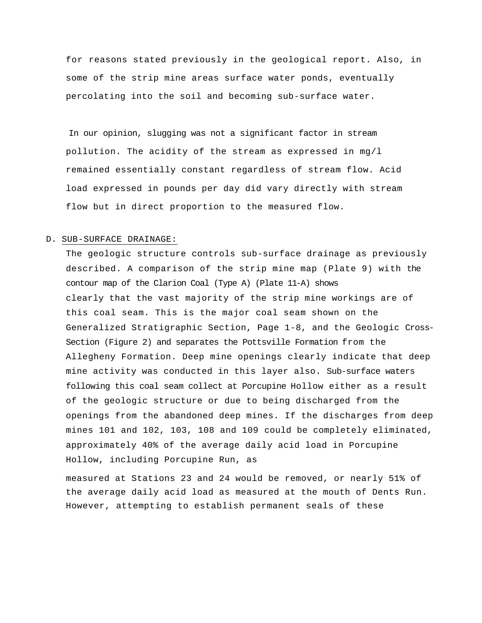for reasons stated previously in the geological report. Also, in some of the strip mine areas surface water ponds, eventually percolating into the soil and becoming sub-surface water.

In our opinion, slugging was not a significant factor in stream pollution. The acidity of the stream as expressed in mg/l remained essentially constant regardless of stream flow. Acid load expressed in pounds per day did vary directly with stream flow but in direct proportion to the measured flow.

## D. SUB-SURFACE DRAINAGE:

The geologic structure controls sub-surface drainage as previously described. A comparison of the strip mine map (Plate 9) with the contour map of the Clarion Coal (Type A) (Plate 11-A) shows clearly that the vast majority of the strip mine workings are of this coal seam. This is the major coal seam shown on the Generalized Stratigraphic Section, Page 1-8, and the Geologic Cross-Section (Figure 2) and separates the Pottsville Formation from the Allegheny Formation. Deep mine openings clearly indicate that deep mine activity was conducted in this layer also. Sub-surface waters following this coal seam collect at Porcupine Hollow either as a result of the geologic structure or due to being discharged from the openings from the abandoned deep mines. If the discharges from deep mines 101 and 102, 103, 108 and 109 could be completely eliminated, approximately 40% of the average daily acid load in Porcupine Hollow, including Porcupine Run, as

measured at Stations 23 and 24 would be removed, or nearly 51% of the average daily acid load as measured at the mouth of Dents Run. However, attempting to establish permanent seals of these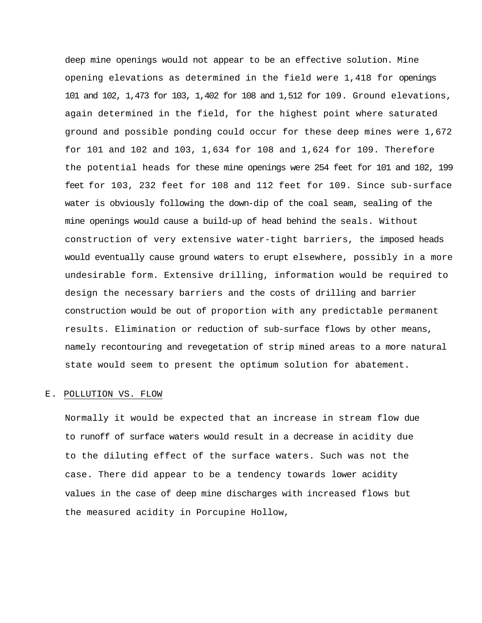deep mine openings would not appear to be an effective solution. Mine opening elevations as determined in the field were 1,418 for openings 101 and 102, 1,473 for 103, 1,402 for 108 and 1,512 for 109. Ground elevations, again determined in the field, for the highest point where saturated ground and possible ponding could occur for these deep mines were 1,672 for 101 and 102 and 103, 1,634 for 108 and 1,624 for 109. Therefore the potential heads for these mine openings were 254 feet for 101 and 102, 199 feet for 103, 232 feet for 108 and 112 feet for 109. Since sub-surface water is obviously following the down-dip of the coal seam, sealing of the mine openings would cause a build-up of head behind the seals. Without construction of very extensive water-tight barriers, the imposed heads would eventually cause ground waters to erupt elsewhere, possibly in a more undesirable form. Extensive drilling, information would be required to design the necessary barriers and the costs of drilling and barrier construction would be out of proportion with any predictable permanent results. Elimination or reduction of sub-surface flows by other means, namely recontouring and revegetation of strip mined areas to a more natural state would seem to present the optimum solution for abatement.

# E. POLLUTION VS. FLOW

Normally it would be expected that an increase in stream flow due to runoff of surface waters would result in a decrease in acidity due to the diluting effect of the surface waters. Such was not the case. There did appear to be a tendency towards lower acidity values in the case of deep mine discharges with increased flows but the measured acidity in Porcupine Hollow,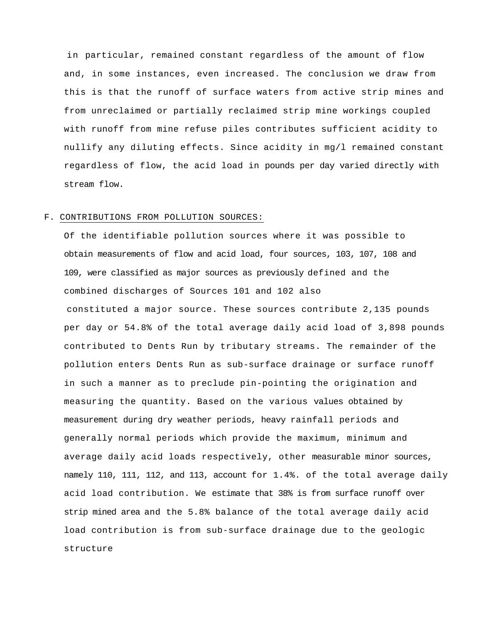in particular, remained constant regardless of the amount of flow and, in some instances, even increased. The conclusion we draw from this is that the runoff of surface waters from active strip mines and from unreclaimed or partially reclaimed strip mine workings coupled with runoff from mine refuse piles contributes sufficient acidity to nullify any diluting effects. Since acidity in mg/l remained constant regardless of flow, the acid load in pounds per day varied directly with stream flow.

#### F. CONTRIBUTIONS FROM POLLUTION SOURCES:

Of the identifiable pollution sources where it was possible to obtain measurements of flow and acid load, four sources, 103, 107, 108 and 109, were classified as major sources as previously defined and the combined discharges of Sources 101 and 102 also constituted a major source. These sources contribute 2,135 pounds per day or 54.8% of the total average daily acid load of 3,898 pounds contributed to Dents Run by tributary streams. The remainder of the pollution enters Dents Run as sub-surface drainage or surface runoff in such a manner as to preclude pin-pointing the origination and measuring the quantity. Based on the various values obtained by measurement during dry weather periods, heavy rainfall periods and generally normal periods which provide the maximum, minimum and average daily acid loads respectively, other measurable minor sources, namely 110, 111, 112, and 113, account for 1.4%. of the total average daily acid load contribution. We estimate that 38% is from surface runoff over strip mined area and the 5.8% balance of the total average daily acid load contribution is from sub-surface drainage due to the geologic structure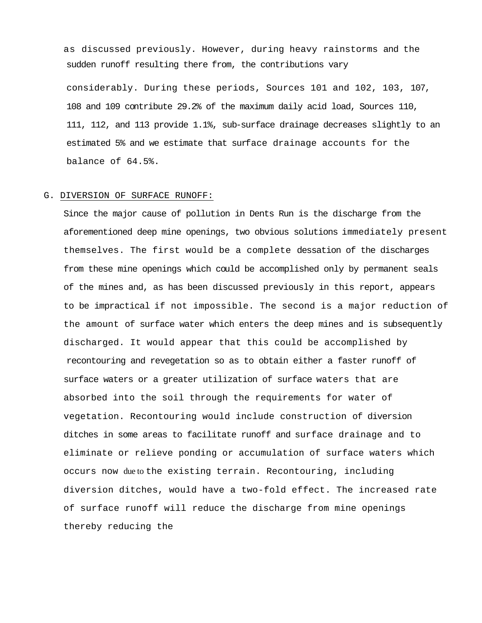as discussed previously. However, during heavy rainstorms and the sudden runoff resulting there from, the contributions vary

considerably. During these periods, Sources 101 and 102, 103, 107, 108 and 109 contribute 29.2% of the maximum daily acid load, Sources 110, 111, 112, and 113 provide 1.1%, sub-surface drainage decreases slightly to an estimated 5% and we estimate that surface drainage accounts for the balance of 64.5%.

## G. DIVERSION OF SURFACE RUNOFF:

Since the major cause of pollution in Dents Run is the discharge from the aforementioned deep mine openings, two obvious solutions immediately present themselves. The first would be a complete dessation of the discharges from these mine openings which could be accomplished only by permanent seals of the mines and, as has been discussed previously in this report, appears to be impractical if not impossible. The second is a major reduction of the amount of surface water which enters the deep mines and is subsequently discharged. It would appear that this could be accomplished by recontouring and revegetation so as to obtain either a faster runoff of surface waters or a greater utilization of surface waters that are absorbed into the soil through the requirements for water of vegetation. Recontouring would include construction of diversion ditches in some areas to facilitate runoff and surface drainage and to eliminate or relieve ponding or accumulation of surface waters which occurs now due to the existing terrain. Recontouring, including diversion ditches, would have a two-fold effect. The increased rate of surface runoff will reduce the discharge from mine openings thereby reducing the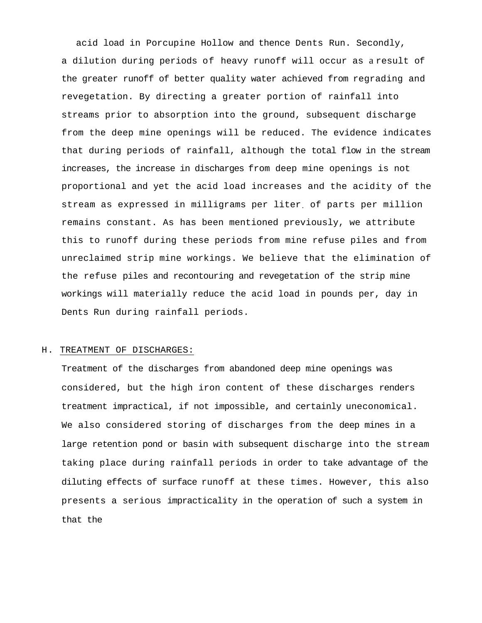acid load in Porcupine Hollow and thence Dents Run. Secondly, a dilution during periods of heavy runoff will occur as a result of the greater runoff of better quality water achieved from regrading and revegetation. By directing a greater portion of rainfall into streams prior to absorption into the ground, subsequent discharge from the deep mine openings will be reduced. The evidence indicates that during periods of rainfall, although the total flow in the stream increases, the increase in discharges from deep mine openings is not proportional and yet the acid load increases and the acidity of the stream as expressed in milligrams per liter. of parts per million remains constant. As has been mentioned previously, we attribute this to runoff during these periods from mine refuse piles and from unreclaimed strip mine workings. We believe that the elimination of the refuse piles and recontouring and revegetation of the strip mine workings will materially reduce the acid load in pounds per, day in Dents Run during rainfall periods.

# H. TREATMENT OF DISCHARGES:

Treatment of the discharges from abandoned deep mine openings was considered, but the high iron content of these discharges renders treatment impractical, if not impossible, and certainly uneconomical. We also considered storing of discharges from the deep mines in a large retention pond or basin with subsequent discharge into the stream taking place during rainfall periods in order to take advantage of the diluting effects of surface runoff at these times. However, this also presents a serious impracticality in the operation of such a system in that the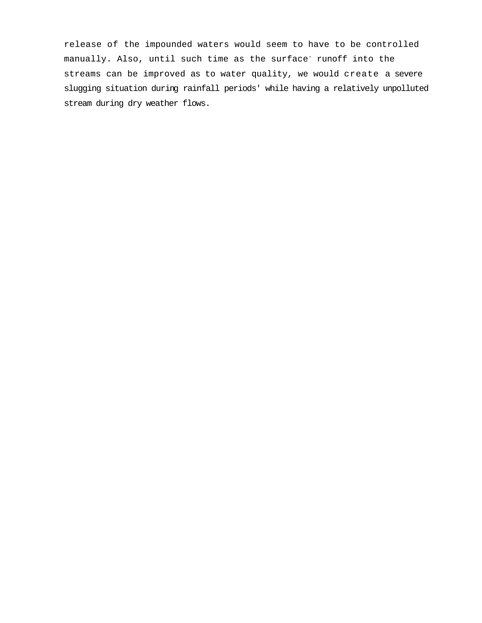release of the impounded waters would seem to have to be controlled manually. Also, until such time as the surface<sup>-</sup> runoff into the streams can be improved as to water quality, we would create a severe slugging situation during rainfall periods' while having a relatively unpolluted stream during dry weather flows.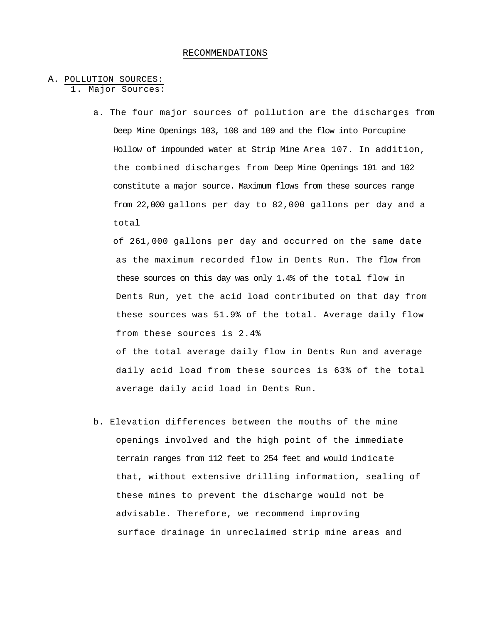#### RECOMMENDATIONS

# A. POLLUTION SOURCES:

1. Major Sources:

a. The four major sources of pollution are the discharges from Deep Mine Openings 103, 108 and 109 and the flow into Porcupine Hollow of impounded water at Strip Mine Area 107. In addition, the combined discharges from Deep Mine Openings 101 and 102 constitute a major source. Maximum flows from these sources range from 22,000 gallons per day to 82,000 gallons per day and a total

of 261,000 gallons per day and occurred on the same date as the maximum recorded flow in Dents Run. The flow from these sources on this day was only 1.4% of the total flow in Dents Run, yet the acid load contributed on that day from these sources was 51.9% of the total. Average daily flow from these sources is 2.4% of the total average daily flow in Dents Run and average

daily acid load from these sources is 63% of the total average daily acid load in Dents Run.

b. Elevation differences between the mouths of the mine openings involved and the high point of the immediate terrain ranges from 112 feet to 254 feet and would indicate that, without extensive drilling information, sealing of these mines to prevent the discharge would not be advisable. Therefore, we recommend improving surface drainage in unreclaimed strip mine areas and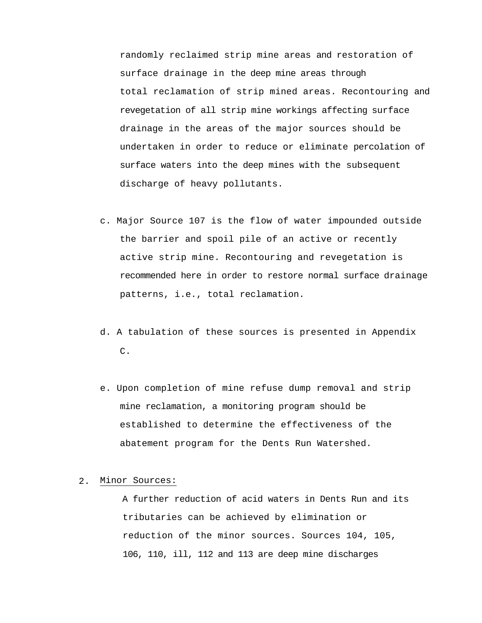randomly reclaimed strip mine areas and restoration of surface drainage in the deep mine areas through total reclamation of strip mined areas. Recontouring and revegetation of all strip mine workings affecting surface drainage in the areas of the major sources should be undertaken in order to reduce or eliminate percolation of surface waters into the deep mines with the subsequent discharge of heavy pollutants.

- c. Major Source 107 is the flow of water impounded outside the barrier and spoil pile of an active or recently active strip mine. Recontouring and revegetation is recommended here in order to restore normal surface drainage patterns, i.e., total reclamation.
- d. A tabulation of these sources is presented in Appendix C.
- e. Upon completion of mine refuse dump removal and strip mine reclamation, a monitoring program should be established to determine the effectiveness of the abatement program for the Dents Run Watershed.

# 2. Minor Sources:

A further reduction of acid waters in Dents Run and its tributaries can be achieved by elimination or reduction of the minor sources. Sources 104, 105, 106, 110, ill, 112 and 113 are deep mine discharges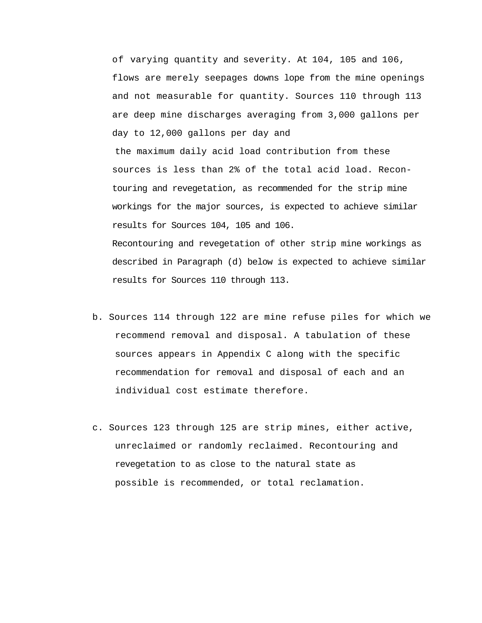of varying quantity and severity. At 104, 105 and 106, flows are merely seepages downs lope from the mine openings and not measurable for quantity. Sources 110 through 113 are deep mine discharges averaging from 3,000 gallons per day to 12,000 gallons per day and the maximum daily acid load contribution from these sources is less than 2% of the total acid load. Recontouring and revegetation, as recommended for the strip mine workings for the major sources, is expected to achieve similar results for Sources 104, 105 and 106. Recontouring and revegetation of other strip mine workings as described in Paragraph (d) below is expected to achieve similar results for Sources 110 through 113.

- b. Sources 114 through 122 are mine refuse piles for which we recommend removal and disposal. A tabulation of these sources appears in Appendix C along with the specific recommendation for removal and disposal of each and an individual cost estimate therefore.
- c. Sources 123 through 125 are strip mines, either active, unreclaimed or randomly reclaimed. Recontouring and revegetation to as close to the natural state as possible is recommended, or total reclamation.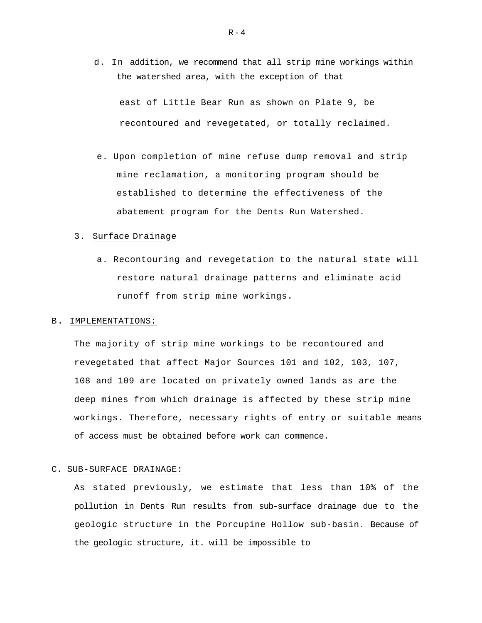d. In addition, we recommend that all strip mine workings within the watershed area, with the exception of that

east of Little Bear Run as shown on Plate 9, be recontoured and revegetated, or totally reclaimed.

e. Upon completion of mine refuse dump removal and strip mine reclamation, a monitoring program should be established to determine the effectiveness of the abatement program for the Dents Run Watershed.

### 3. Surface Drainage

a. Recontouring and revegetation to the natural state will restore natural drainage patterns and eliminate acid runoff from strip mine workings.

#### B. IMPLEMENTATIONS:

The majority of strip mine workings to be recontoured and revegetated that affect Major Sources 101 and 102, 103, 107, 108 and 109 are located on privately owned lands as are the deep mines from which drainage is affected by these strip mine workings. Therefore, necessary rights of entry or suitable means of access must be obtained before work can commence.

#### C. SUB-SURFACE DRAINAGE:

As stated previously, we estimate that less than 10% of the pollution in Dents Run results from sub-surface drainage due to the geologic structure in the Porcupine Hollow sub-basin. Because of the geologic structure, it. will be impossible to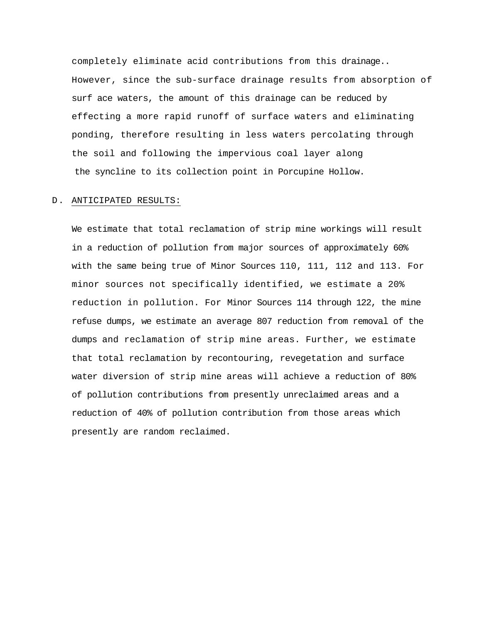completely eliminate acid contributions from this drainage.. However, since the sub-surface drainage results from absorption of surf ace waters, the amount of this drainage can be reduced by effecting a more rapid runoff of surface waters and eliminating ponding, therefore resulting in less waters percolating through the soil and following the impervious coal layer along the syncline to its collection point in Porcupine Hollow.

### D. ANTICIPATED RESULTS:

We estimate that total reclamation of strip mine workings will result in a reduction of pollution from major sources of approximately 60% with the same being true of Minor Sources 110, 111, 112 and 113. For minor sources not specifically identified, we estimate a 20% reduction in pollution. For Minor Sources 114 through 122, the mine refuse dumps, we estimate an average 807 reduction from removal of the dumps and reclamation of strip mine areas. Further, we estimate that total reclamation by recontouring, revegetation and surface water diversion of strip mine areas will achieve a reduction of 80% of pollution contributions from presently unreclaimed areas and a reduction of 40% of pollution contribution from those areas which presently are random reclaimed.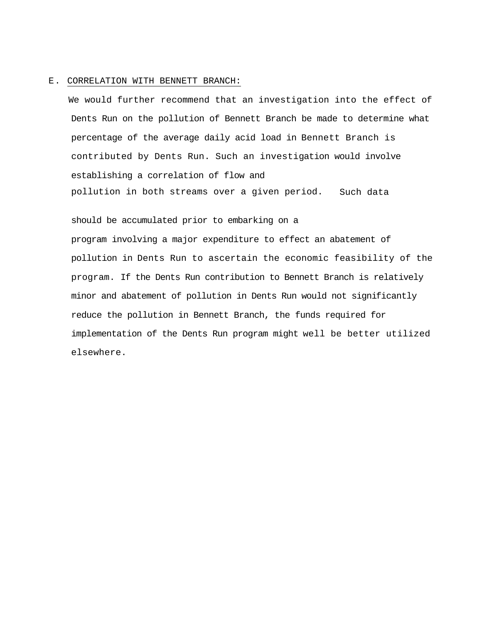#### E. CORRELATION WITH BENNETT BRANCH:

We would further recommend that an investigation into the effect of Dents Run on the pollution of Bennett Branch be made to determine what percentage of the average daily acid load in Bennett Branch is contributed by Dents Run. Such an investigation would involve establishing a correlation of flow and pollution in both streams over a given period. Such data

should be accumulated prior to embarking on a program involving a major expenditure to effect an abatement of pollution in Dents Run to ascertain the economic feasibility of the program. If the Dents Run contribution to Bennett Branch is relatively minor and abatement of pollution in Dents Run would not significantly reduce the pollution in Bennett Branch, the funds required for implementation of the Dents Run program might well be better utilized elsewhere.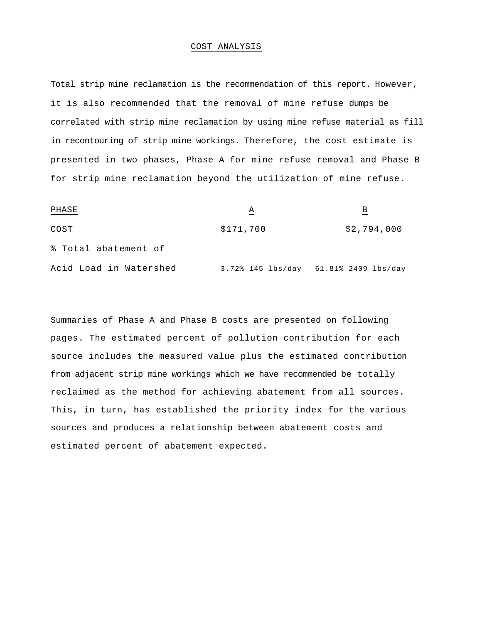#### COST ANALYSIS

Total strip mine reclamation is the recommendation of this report. However, it is also recommended that the removal of mine refuse dumps be correlated with strip mine reclamation by using mine refuse material as fill in recontouring of strip mine workings. Therefore, the cost estimate is presented in two phases, Phase A for mine refuse removal and Phase B for strip mine reclamation beyond the utilization of mine refuse.

| PHASE                  | Α         | В                                     |
|------------------------|-----------|---------------------------------------|
| COST                   | \$171,700 | \$2,794,000                           |
| % Total abatement of   |           |                                       |
| Acid Load in Watershed |           | 3.72% 145 lbs/day 61.81% 2409 lbs/day |

Summaries of Phase A and Phase B costs are presented on following pages. The estimated percent of pollution contribution for each source includes the measured value plus the estimated contribution from adjacent strip mine workings which we have recommended be totally reclaimed as the method for achieving abatement from all sources. This, in turn, has established the priority index for the various sources and produces a relationship between abatement costs and estimated percent of abatement expected.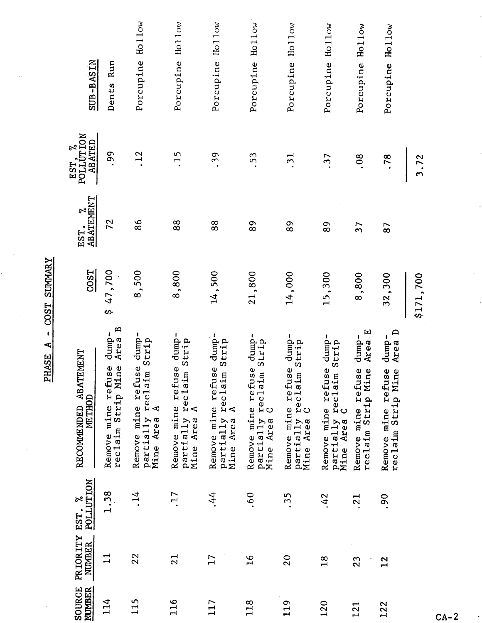| <b>NUMBER</b><br>SOURCE | PRIORITY<br><b>NUMBER</b> | <b>POLLUTION</b><br>EST. % | RECOMMENDED ABATEMENT<br>METHOD                                                                     | <b>COST</b> | EST. %<br>ABATEMENT<br>EST. | EST, %<br>POLLUTION<br><b>ABATED</b> | SUB-BASIN                        |
|-------------------------|---------------------------|----------------------------|-----------------------------------------------------------------------------------------------------|-------------|-----------------------------|--------------------------------------|----------------------------------|
| 114                     | $\mathbf{1}$              | 1.38                       | $\mathbf{p}$<br>dump-<br>Area<br>$\overline{\mathbf{0}}$<br>Remove mine refuse<br>reclaim Strip Min | \$47,700    | 72                          | .99                                  | Dents Run                        |
| 115                     | 22                        | $\cdot$ 14                 | dump-<br>Strip<br>Remove mine refuse<br>partially reclaim<br>$\blacktriangleleft$<br>Mine Area      | 8,500       | 86                          | 12                                   | Ho <sub>11ow</sub><br>Porcupine  |
| 116                     | 21                        | .17                        | dump-<br>Strip<br>Remove mine refuse<br>partially reclaim<br>$\blacktriangleleft$<br>Mine Area      | 8,800       | 88                          | $-15$                                | Ho <sub>11</sub> ow<br>Porcupine |
| 117                     | 17                        | .44                        | dump-<br>Strip<br>Remove mine refuse<br>partially reclaim<br>$\blacktriangleleft$<br>Area<br>Mine   | 14,500      | 88                          | .39                                  | Porcupine Hollow                 |
| 118                     | $\frac{1}{6}$             | .60                        | Remove mine refuse dump-<br>Strip<br>partially reclaim<br>Mine Area C<br>Mine Area                  | 21,800      | 89                          | .53                                  | Hollow<br>Porcupine              |
| 119                     | 20                        | .35                        | $dump-$<br>Strip<br>Remove mine refuse<br>reclaim<br>C<br>partially<br>Area<br>Mine                 | 14,000      | 89                          | $\overline{31}$                      | Porcupine Hollow                 |
| 120                     | 18                        | .42                        | dump-<br>Strip<br>Remove mine refuse<br>partially reclaim<br>Mine Area C                            | 15,300      | 89                          | .37                                  | Porcupine Hollow                 |
| 121                     | 23                        | $\cdot$ 21                 | $\mathbf{E}$<br>dump-<br>Area<br>Remove mine refuse<br>reclaim Strip Mine                           | 8,800       | $\overline{37}$             | 08                                   | Hollow<br>Porcupine              |
| 122                     | 12                        | 90.                        | Area D<br>dump-<br>Remove mine refuse<br>reclaim Strip Mine                                         | 32,300      | 87                          | .78                                  | Porcupine Hollow                 |
|                         |                           |                            |                                                                                                     | \$171,700   |                             | 3.72                                 |                                  |

PHASE A - COST SUMMARY

 $CA-2$ 

 $\overline{\phantom{a}}$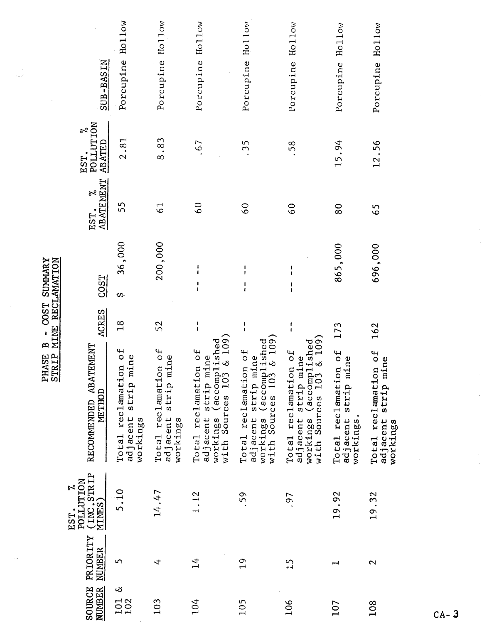|                                      |                             |  | EST<br>E |
|--------------------------------------|-----------------------------|--|----------|
| COST SUMMARY<br>ì<br>m<br>D<br>PHASE | MINE RECLAMATION<br>STRIP M |  |          |
|                                      |                             |  |          |

Ú,

| SUB-BASIN                                              | Hollow<br>Porcupine                                                            | Hollow<br>Porcupine                                                                   | Porcupine Hollow                                                                                                                    | Hollow<br>Porcupine                                                                                             | Hollow<br>Porcupine                                                                                                      | Hollow<br>Porcupine                                      | Porcupine Hollow                                           |
|--------------------------------------------------------|--------------------------------------------------------------------------------|---------------------------------------------------------------------------------------|-------------------------------------------------------------------------------------------------------------------------------------|-----------------------------------------------------------------------------------------------------------------|--------------------------------------------------------------------------------------------------------------------------|----------------------------------------------------------|------------------------------------------------------------|
| POLLUTION<br>ನ್<br>ABATED<br>EST.                      | 2.81                                                                           | 8.83                                                                                  | .67                                                                                                                                 | $\overline{35}$                                                                                                 | 58                                                                                                                       | 15.94                                                    | 12.56                                                      |
| <b>ABATEMENT</b><br>$\tilde{\sigma}$<br>EST.           | 55                                                                             | $\overline{6}$                                                                        | $\overline{6}$                                                                                                                      | $\overline{6}$                                                                                                  | $\overline{6}$                                                                                                           | 80                                                       | 65                                                         |
| <b>COST</b>                                            | 36,000<br>တ                                                                    | 200,000                                                                               | $\frac{1}{1}$                                                                                                                       |                                                                                                                 | ł<br>ł                                                                                                                   | 865,000                                                  | 696,000                                                    |
| <b>ACRES</b>                                           | $\frac{8}{18}$                                                                 | 52                                                                                    | $\frac{1}{1}$                                                                                                                       | $\frac{1}{1}$                                                                                                   | t<br>f.                                                                                                                  | 173                                                      | 162                                                        |
| RECOMMENDED ABATEMENT<br>METHOD                        | $\mathsf{d}$<br>ne<br>reclamation<br>strip mi<br>adjacent<br>workings<br>Total | $\overline{\mathfrak{g}}$<br>ne<br>Total reclamation<br>adjacent strip mi<br>workings | $i$ shed<br>$\&$ 109)<br>$\overline{f}$<br>adjacent strip mine<br>workings (accomplis)<br>with Sources 103 & 3<br>Total reclamation | adjacent strip mine<br>workings (accomplished<br>with Sources 103 & 109)<br>$\overline{a}$<br>Total reclamation | $\frac{109}{3}$<br>workings (accomplished<br>with Sources 103 & 109<br>0f<br>strip mine<br>Total reclamation<br>adjacent | Total reclamation of<br>adjacent strip mine<br>workings. | 0f<br>adjacent strip mine<br>Total reclamation<br>workings |
| (INC.STRIP<br>MINES)<br><b>POLLUTION</b><br>ಸಿ<br>EST. | 5.10                                                                           | 14.47                                                                                 | 1.12                                                                                                                                | .59                                                                                                             | .97                                                                                                                      | 19.92                                                    | 19.32                                                      |
| PRIORITY<br><b>NUMBER</b>                              | M                                                                              | $\overline{t}$                                                                        | $\mathbf{1}^4$                                                                                                                      | 19                                                                                                              | $\frac{5}{1}$                                                                                                            |                                                          | 2                                                          |
| SOURCE<br><b>NUMBER</b>                                | $\infty$<br>101<br>102                                                         | 103                                                                                   | 104                                                                                                                                 | 105                                                                                                             | 106                                                                                                                      | 107                                                      | 108                                                        |

 $CA-3$ 

 $\hat{\boldsymbol{\beta}}$